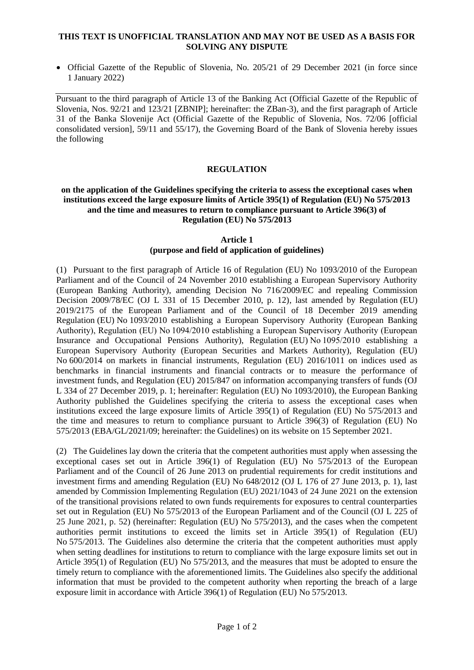### **THIS TEXT IS UNOFFICIAL TRANSLATION AND MAY NOT BE USED AS A BASIS FOR SOLVING ANY DISPUTE**

• Official Gazette of the Republic of Slovenia, No. 205/21 of 29 December 2021 (in force since 1 January 2022)

Pursuant to the third paragraph of Article 13 of the Banking Act (Official Gazette of the Republic of Slovenia, Nos. 92/21 and 123/21 [ZBNIP]; hereinafter: the ZBan-3), and the first paragraph of Article 31 of the Banka Slovenije Act (Official Gazette of the Republic of Slovenia, Nos. 72/06 [official consolidated version], 59/11 and 55/17), the Governing Board of the Bank of Slovenia hereby issues the following

#### **REGULATION**

### **on the application of the Guidelines specifying the criteria to assess the exceptional cases when institutions exceed the large exposure limits of Article 395(1) of Regulation (EU) No 575/2013 and the time and measures to return to compliance pursuant to Article 396(3) of Regulation (EU) No 575/2013**

# **Article 1**

# **(purpose and field of application of guidelines)**

(1) Pursuant to the first paragraph of Article 16 of Regulation (EU) No 1093/2010 of the European Parliament and of the Council of 24 November 2010 establishing a European Supervisory Authority (European Banking Authority), amending Decision No 716/2009/EC and repealing Commission Decision 2009/78/EC (OJ L 331 of 15 December 2010, p. 12), last amended by Regulation (EU) 2019/2175 of the European Parliament and of the Council of 18 December 2019 amending Regulation (EU) No 1093/2010 establishing a European Supervisory Authority (European Banking Authority), Regulation (EU) No 1094/2010 establishing a European Supervisory Authority (European Insurance and Occupational Pensions Authority), Regulation (EU) No 1095/2010 establishing a European Supervisory Authority (European Securities and Markets Authority), Regulation (EU) No 600/2014 on markets in financial instruments, Regulation (EU) 2016/1011 on indices used as benchmarks in financial instruments and financial contracts or to measure the performance of investment funds, and Regulation (EU) 2015/847 on information accompanying transfers of funds (OJ L 334 of 27 December 2019, p. 1; hereinafter: Regulation (EU) No 1093/2010), the European Banking Authority published the Guidelines specifying the criteria to assess the exceptional cases when institutions exceed the large exposure limits of Article 395(1) of Regulation (EU) No 575/2013 and the time and measures to return to compliance pursuant to Article 396(3) of Regulation (EU) No 575/2013 (EBA/GL/2021/09; hereinafter: the Guidelines) on its website on 15 September 2021.

(2) The Guidelines lay down the criteria that the competent authorities must apply when assessing the exceptional cases set out in Article 396(1) of Regulation (EU) No 575/2013 of the European Parliament and of the Council of 26 June 2013 on prudential requirements for credit institutions and investment firms and amending Regulation (EU) No 648/2012 (OJ L 176 of 27 June 2013, p. 1), last amended by Commission Implementing Regulation (EU) 2021/1043 of 24 June 2021 on the extension of the transitional provisions related to own funds requirements for exposures to central counterparties set out in Regulation (EU) No 575/2013 of the European Parliament and of the Council (OJ L 225 of 25 June 2021, p. 52) (hereinafter: Regulation (EU) No 575/2013), and the cases when the competent authorities permit institutions to exceed the limits set in Article 395(1) of Regulation (EU) No 575/2013. The Guidelines also determine the criteria that the competent authorities must apply when setting deadlines for institutions to return to compliance with the large exposure limits set out in Article 395(1) of Regulation (EU) No 575/2013, and the measures that must be adopted to ensure the timely return to compliance with the aforementioned limits. The Guidelines also specify the additional information that must be provided to the competent authority when reporting the breach of a large exposure limit in accordance with Article 396(1) of Regulation (EU) No 575/2013.